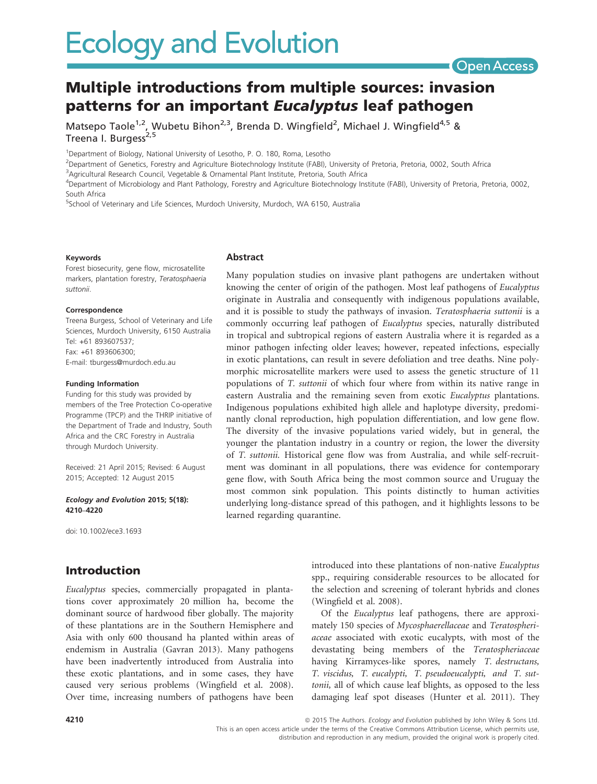# Multiple introductions from multiple sources: invasion patterns for an important Eucalyptus leaf pathogen

Matsepo Taole<sup>1,2</sup>, Wubetu Bihon<sup>2,3</sup>, Brenda D. Wingfield<sup>2</sup>, Michael J. Wingfield<sup>4,5</sup> & Treena I. Burgess<sup>2,5</sup>

<sup>1</sup>Department of Biology, National University of Lesotho, P. O. 180, Roma, Lesotho

2 Department of Genetics, Forestry and Agriculture Biotechnology Institute (FABI), University of Pretoria, Pretoria, 0002, South Africa

<sup>3</sup>Agricultural Research Council, Vegetable & Ornamental Plant Institute, Pretoria, South Africa

4 Department of Microbiology and Plant Pathology, Forestry and Agriculture Biotechnology Institute (FABI), University of Pretoria, Pretoria, 0002, South Africa

5 School of Veterinary and Life Sciences, Murdoch University, Murdoch, WA 6150, Australia

#### Keywords

Forest biosecurity, gene flow, microsatellite markers, plantation forestry, Teratosphaeria suttonii.

#### **Correspondence**

Treena Burgess, School of Veterinary and Life Sciences, Murdoch University, 6150 Australia Tel: +61 893607537; Fax: +61 893606300; E-mail: tburgess@murdoch.edu.au

#### Funding Information

Funding for this study was provided by members of the Tree Protection Co-operative Programme (TPCP) and the THRIP initiative of the Department of Trade and Industry, South Africa and the CRC Forestry in Australia through Murdoch University.

Received: 21 April 2015; Revised: 6 August 2015; Accepted: 12 August 2015

#### Ecology and Evolution 2015; 5(18): 4210–4220

doi: 10.1002/ece3.1693

### Introduction

Eucalyptus species, commercially propagated in plantations cover approximately 20 million ha, become the dominant source of hardwood fiber globally. The majority of these plantations are in the Southern Hemisphere and Asia with only 600 thousand ha planted within areas of endemism in Australia (Gavran 2013). Many pathogens have been inadvertently introduced from Australia into these exotic plantations, and in some cases, they have caused very serious problems (Wingfield et al. 2008). Over time, increasing numbers of pathogens have been

### Abstract

Many population studies on invasive plant pathogens are undertaken without knowing the center of origin of the pathogen. Most leaf pathogens of Eucalyptus originate in Australia and consequently with indigenous populations available, and it is possible to study the pathways of invasion. Teratosphaeria suttonii is a commonly occurring leaf pathogen of Eucalyptus species, naturally distributed in tropical and subtropical regions of eastern Australia where it is regarded as a minor pathogen infecting older leaves; however, repeated infections, especially in exotic plantations, can result in severe defoliation and tree deaths. Nine polymorphic microsatellite markers were used to assess the genetic structure of 11 populations of T. suttonii of which four where from within its native range in eastern Australia and the remaining seven from exotic Eucalyptus plantations. Indigenous populations exhibited high allele and haplotype diversity, predominantly clonal reproduction, high population differentiation, and low gene flow. The diversity of the invasive populations varied widely, but in general, the younger the plantation industry in a country or region, the lower the diversity of T. suttonii. Historical gene flow was from Australia, and while self-recruitment was dominant in all populations, there was evidence for contemporary gene flow, with South Africa being the most common source and Uruguay the most common sink population. This points distinctly to human activities underlying long-distance spread of this pathogen, and it highlights lessons to be learned regarding quarantine.

> introduced into these plantations of non-native Eucalyptus spp., requiring considerable resources to be allocated for the selection and screening of tolerant hybrids and clones (Wingfield et al. 2008).

**Open Access** 

Of the Eucalyptus leaf pathogens, there are approximately 150 species of Mycosphaerellaceae and Teratospheriaceae associated with exotic eucalypts, with most of the devastating being members of the Teratospheriaceae having Kirramyces-like spores, namely T. destructans, T. viscidus, T. eucalypti, T. pseudoeucalypti, and T. suttonii, all of which cause leaf blights, as opposed to the less damaging leaf spot diseases (Hunter et al. 2011). They

4210 **4210 and Structure 2015** The Authors. Ecology and Evolution published by John Wiley & Sons Ltd. This is an open access article under the terms of the Creative Commons Attribution License, which permits use,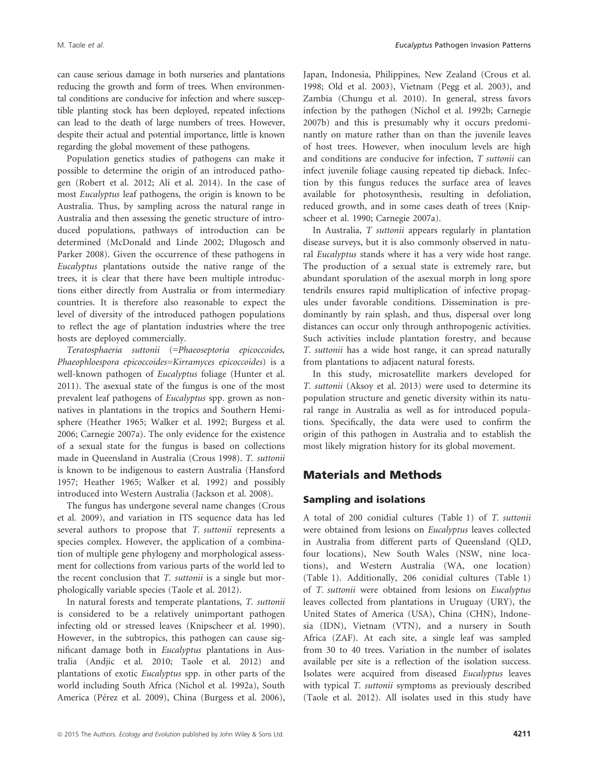can cause serious damage in both nurseries and plantations reducing the growth and form of trees. When environmental conditions are conducive for infection and where susceptible planting stock has been deployed, repeated infections can lead to the death of large numbers of trees. However, despite their actual and potential importance, little is known regarding the global movement of these pathogens.

Population genetics studies of pathogens can make it possible to determine the origin of an introduced pathogen (Robert et al. 2012; Ali et al. 2014). In the case of most Eucalyptus leaf pathogens, the origin is known to be Australia. Thus, by sampling across the natural range in Australia and then assessing the genetic structure of introduced populations, pathways of introduction can be determined (McDonald and Linde 2002; Dlugosch and Parker 2008). Given the occurrence of these pathogens in Eucalyptus plantations outside the native range of the trees, it is clear that there have been multiple introductions either directly from Australia or from intermediary countries. It is therefore also reasonable to expect the level of diversity of the introduced pathogen populations to reflect the age of plantation industries where the tree hosts are deployed commercially.

Teratosphaeria suttonii (=Phaeoseptoria epicoccoides, Phaeophloespora epicoccoides=Kirramyces epicoccoides) is a well-known pathogen of Eucalyptus foliage (Hunter et al. 2011). The asexual state of the fungus is one of the most prevalent leaf pathogens of Eucalyptus spp. grown as nonnatives in plantations in the tropics and Southern Hemisphere (Heather 1965; Walker et al. 1992; Burgess et al. 2006; Carnegie 2007a). The only evidence for the existence of a sexual state for the fungus is based on collections made in Queensland in Australia (Crous 1998). T. suttonii is known to be indigenous to eastern Australia (Hansford 1957; Heather 1965; Walker et al. 1992) and possibly introduced into Western Australia (Jackson et al. 2008).

The fungus has undergone several name changes (Crous et al. 2009), and variation in ITS sequence data has led several authors to propose that T. suttonii represents a species complex. However, the application of a combination of multiple gene phylogeny and morphological assessment for collections from various parts of the world led to the recent conclusion that T. suttonii is a single but morphologically variable species (Taole et al. 2012).

In natural forests and temperate plantations, T. suttonii is considered to be a relatively unimportant pathogen infecting old or stressed leaves (Knipscheer et al. 1990). However, in the subtropics, this pathogen can cause significant damage both in Eucalyptus plantations in Australia (Andjic et al. 2010; Taole et al. 2012) and plantations of exotic Eucalyptus spp. in other parts of the world including South Africa (Nichol et al. 1992a), South America (Pérez et al. 2009), China (Burgess et al. 2006), Japan, Indonesia, Philippines, New Zealand (Crous et al. 1998; Old et al. 2003), Vietnam (Pegg et al. 2003), and Zambia (Chungu et al. 2010). In general, stress favors infection by the pathogen (Nichol et al. 1992b; Carnegie 2007b) and this is presumably why it occurs predominantly on mature rather than on than the juvenile leaves of host trees. However, when inoculum levels are high and conditions are conducive for infection, T suttonii can infect juvenile foliage causing repeated tip dieback. Infection by this fungus reduces the surface area of leaves available for photosynthesis, resulting in defoliation, reduced growth, and in some cases death of trees (Knipscheer et al. 1990; Carnegie 2007a).

In Australia, T suttonii appears regularly in plantation disease surveys, but it is also commonly observed in natural Eucalyptus stands where it has a very wide host range. The production of a sexual state is extremely rare, but abundant sporulation of the asexual morph in long spore tendrils ensures rapid multiplication of infective propagules under favorable conditions. Dissemination is predominantly by rain splash, and thus, dispersal over long distances can occur only through anthropogenic activities. Such activities include plantation forestry, and because T. suttonii has a wide host range, it can spread naturally from plantations to adjacent natural forests.

In this study, microsatellite markers developed for T. suttonii (Aksoy et al. 2013) were used to determine its population structure and genetic diversity within its natural range in Australia as well as for introduced populations. Specifically, the data were used to confirm the origin of this pathogen in Australia and to establish the most likely migration history for its global movement.

### Materials and Methods

### Sampling and isolations

A total of 200 conidial cultures (Table 1) of T. suttonii were obtained from lesions on Eucalyptus leaves collected in Australia from different parts of Queensland (QLD, four locations), New South Wales (NSW, nine locations), and Western Australia (WA, one location) (Table 1). Additionally, 206 conidial cultures (Table 1) of T. suttonii were obtained from lesions on Eucalyptus leaves collected from plantations in Uruguay (URY), the United States of America (USA), China (CHN), Indonesia (IDN), Vietnam (VTN), and a nursery in South Africa (ZAF). At each site, a single leaf was sampled from 30 to 40 trees. Variation in the number of isolates available per site is a reflection of the isolation success. Isolates were acquired from diseased Eucalyptus leaves with typical T. suttonii symptoms as previously described (Taole et al. 2012). All isolates used in this study have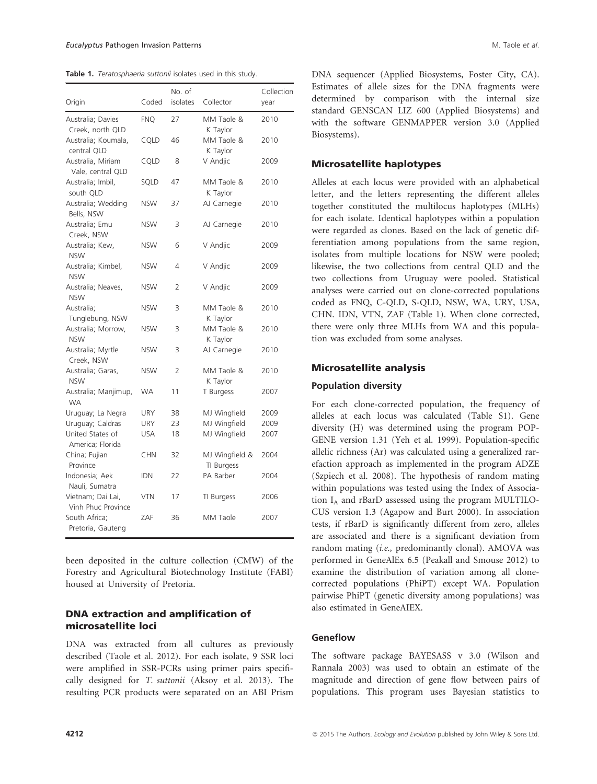Table 1. Teratosphaeria suttonii isolates used in this study.

|                                         |            | No. of   |                              | Collection |
|-----------------------------------------|------------|----------|------------------------------|------------|
| Origin                                  | Coded      | isolates | Collector                    | vear       |
| Australia; Davies<br>Creek, north QLD   | <b>FNQ</b> | 27       | MM Taole &<br>K Taylor       | 2010       |
| Australia; Koumala,<br>central QLD      | CQLD       | 46       | MM Taole &<br>K Taylor       | 2010       |
| Australia, Miriam<br>Vale, central QLD  | CQLD       | 8        | V Andjic                     | 2009       |
| Australia; Imbil,<br>south QLD          | SQLD       | 47       | MM Taole &<br>K Taylor       | 2010       |
| Australia; Wedding<br>Bells, NSW        | <b>NSW</b> | 37       | AJ Carnegie                  | 2010       |
| Australia; Emu<br>Creek, NSW            | <b>NSW</b> | 3        | AJ Carnegie                  | 2010       |
| Australia; Kew,<br><b>NSW</b>           | <b>NSW</b> | 6        | V Andjic                     | 2009       |
| Australia; Kimbel,<br><b>NSW</b>        | <b>NSW</b> | 4        | V Andjic                     | 2009       |
| Australia; Neaves,<br><b>NSW</b>        | <b>NSW</b> | 2        | V Andjic                     | 2009       |
| Australia;<br>Tunglebung, NSW           | <b>NSW</b> | 3        | MM Taole &<br>K Taylor       | 2010       |
| Australia; Morrow,<br><b>NSW</b>        | <b>NSW</b> | 3        | MM Taole &<br>K Taylor       | 2010       |
| Australia; Myrtle<br>Creek. NSW         | <b>NSW</b> | 3        | AJ Carnegie                  | 2010       |
| Australia; Garas,<br><b>NSW</b>         | <b>NSW</b> | 2        | MM Taole &<br>K Taylor       | 2010       |
| Australia; Manjimup,<br><b>WA</b>       | <b>WA</b>  | 11       | T Burgess                    | 2007       |
| Uruguay; La Negra                       | <b>URY</b> | 38       | MJ Wingfield                 | 2009       |
| Uruguay; Caldras                        | <b>URY</b> | 23       | MJ Wingfield                 | 2009       |
| United States of<br>America; Florida    | <b>USA</b> | 18       | MJ Wingfield                 | 2007       |
| China; Fujian<br>Province               | <b>CHN</b> | 32       | MJ Wingfield &<br>TI Burgess | 2004       |
| Indonesia: Aek<br>Nauli, Sumatra        | <b>IDN</b> | 22       | PA Barber                    | 2004       |
| Vietnam; Dai Lai,<br>Vinh Phuc Province | <b>VTN</b> | 17       | TI Burgess                   | 2006       |
| South Africa;<br>Pretoria, Gauteng      | ZAF        | 36       | MM Taole                     | 2007       |

been deposited in the culture collection (CMW) of the Forestry and Agricultural Biotechnology Institute (FABI) housed at University of Pretoria.

### DNA extraction and amplification of microsatellite loci

DNA was extracted from all cultures as previously described (Taole et al. 2012). For each isolate, 9 SSR loci were amplified in SSR-PCRs using primer pairs specifically designed for T. suttonii (Aksoy et al. 2013). The resulting PCR products were separated on an ABI Prism DNA sequencer (Applied Biosystems, Foster City, CA). Estimates of allele sizes for the DNA fragments were determined by comparison with the internal size standard GENSCAN LIZ 600 (Applied Biosystems) and with the software GENMAPPER version 3.0 (Applied Biosystems).

### Microsatellite haplotypes

Alleles at each locus were provided with an alphabetical letter, and the letters representing the different alleles together constituted the multilocus haplotypes (MLHs) for each isolate. Identical haplotypes within a population were regarded as clones. Based on the lack of genetic differentiation among populations from the same region, isolates from multiple locations for NSW were pooled; likewise, the two collections from central QLD and the two collections from Uruguay were pooled. Statistical analyses were carried out on clone-corrected populations coded as FNQ, C-QLD, S-QLD, NSW, WA, URY, USA, CHN. IDN, VTN, ZAF (Table 1). When clone corrected, there were only three MLHs from WA and this population was excluded from some analyses.

#### Microsatellite analysis

#### Population diversity

For each clone-corrected population, the frequency of alleles at each locus was calculated (Table S1). Gene diversity (H) was determined using the program POP-GENE version 1.31 (Yeh et al. 1999). Population-specific allelic richness (Ar) was calculated using a generalized rarefaction approach as implemented in the program ADZE (Szpiech et al. 2008). The hypothesis of random mating within populations was tested using the Index of Association IA and rBarD assessed using the program MULTILO-CUS version 1.3 (Agapow and Burt 2000). In association tests, if rBarD is significantly different from zero, alleles are associated and there is a significant deviation from random mating (i.e., predominantly clonal). AMOVA was performed in GeneAlEx 6.5 (Peakall and Smouse 2012) to examine the distribution of variation among all clonecorrected populations (PhiPT) except WA. Population pairwise PhiPT (genetic diversity among populations) was also estimated in GeneAIEX.

#### Geneflow

The software package BAYESASS v 3.0 (Wilson and Rannala 2003) was used to obtain an estimate of the magnitude and direction of gene flow between pairs of populations. This program uses Bayesian statistics to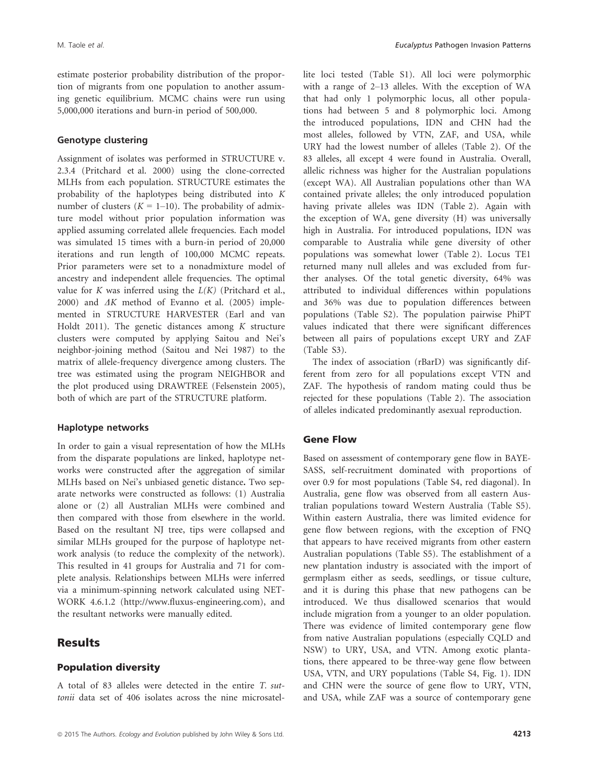estimate posterior probability distribution of the proportion of migrants from one population to another assuming genetic equilibrium. MCMC chains were run using 5,000,000 iterations and burn-in period of 500,000.

#### Genotype clustering

Assignment of isolates was performed in STRUCTURE v. 2.3.4 (Pritchard et al. 2000) using the clone-corrected MLHs from each population. STRUCTURE estimates the probability of the haplotypes being distributed into K number of clusters ( $K = 1-10$ ). The probability of admixture model without prior population information was applied assuming correlated allele frequencies. Each model was simulated 15 times with a burn-in period of 20,000 iterations and run length of 100,000 MCMC repeats. Prior parameters were set to a nonadmixture model of ancestry and independent allele frequencies. The optimal value for  $K$  was inferred using the  $L(K)$  (Pritchard et al., 2000) and  $\Delta K$  method of Evanno et al. (2005) implemented in STRUCTURE HARVESTER (Earl and van Holdt 2011). The genetic distances among  $K$  structure clusters were computed by applying Saitou and Nei's neighbor-joining method (Saitou and Nei 1987) to the matrix of allele-frequency divergence among clusters. The tree was estimated using the program NEIGHBOR and the plot produced using DRAWTREE (Felsenstein 2005), both of which are part of the STRUCTURE platform.

#### Haplotype networks

In order to gain a visual representation of how the MLHs from the disparate populations are linked, haplotype networks were constructed after the aggregation of similar MLHs based on Nei's unbiased genetic distance. Two separate networks were constructed as follows: (1) Australia alone or (2) all Australian MLHs were combined and then compared with those from elsewhere in the world. Based on the resultant NJ tree, tips were collapsed and similar MLHs grouped for the purpose of haplotype network analysis (to reduce the complexity of the network). This resulted in 41 groups for Australia and 71 for complete analysis. Relationships between MLHs were inferred via a minimum-spinning network calculated using NET-WORK 4.6.1.2 (<http://www.fluxus-engineering.com>), and the resultant networks were manually edited.

### Results

### Population diversity

A total of 83 alleles were detected in the entire T. suttonii data set of 406 isolates across the nine microsatellite loci tested (Table S1). All loci were polymorphic with a range of 2–13 alleles. With the exception of WA that had only 1 polymorphic locus, all other populations had between 5 and 8 polymorphic loci. Among the introduced populations, IDN and CHN had the most alleles, followed by VTN, ZAF, and USA, while URY had the lowest number of alleles (Table 2). Of the 83 alleles, all except 4 were found in Australia. Overall, allelic richness was higher for the Australian populations (except WA). All Australian populations other than WA contained private alleles; the only introduced population having private alleles was IDN (Table 2). Again with the exception of WA, gene diversity (H) was universally high in Australia. For introduced populations, IDN was comparable to Australia while gene diversity of other populations was somewhat lower (Table 2). Locus TE1 returned many null alleles and was excluded from further analyses. Of the total genetic diversity, 64% was attributed to individual differences within populations and 36% was due to population differences between populations (Table S2). The population pairwise PhiPT values indicated that there were significant differences between all pairs of populations except URY and ZAF (Table S3).

The index of association (rBarD) was significantly different from zero for all populations except VTN and ZAF. The hypothesis of random mating could thus be rejected for these populations (Table 2). The association of alleles indicated predominantly asexual reproduction.

### Gene Flow

Based on assessment of contemporary gene flow in BAYE-SASS, self-recruitment dominated with proportions of over 0.9 for most populations (Table S4, red diagonal). In Australia, gene flow was observed from all eastern Australian populations toward Western Australia (Table S5). Within eastern Australia, there was limited evidence for gene flow between regions, with the exception of FNQ that appears to have received migrants from other eastern Australian populations (Table S5). The establishment of a new plantation industry is associated with the import of germplasm either as seeds, seedlings, or tissue culture, and it is during this phase that new pathogens can be introduced. We thus disallowed scenarios that would include migration from a younger to an older population. There was evidence of limited contemporary gene flow from native Australian populations (especially CQLD and NSW) to URY, USA, and VTN. Among exotic plantations, there appeared to be three-way gene flow between USA, VTN, and URY populations (Table S4, Fig. 1). IDN and CHN were the source of gene flow to URY, VTN, and USA, while ZAF was a source of contemporary gene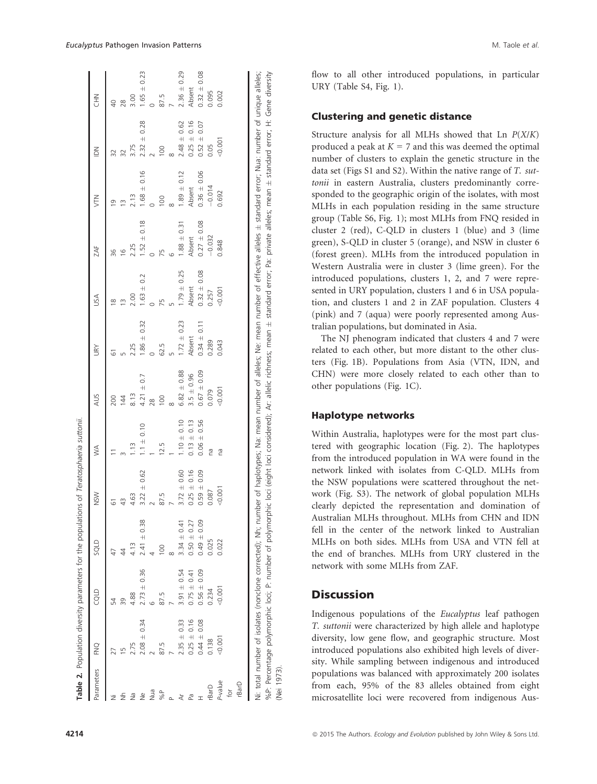|                                    |                 |                    |                 |                 |                 | USA                         | ZAF                            | EN              | $\leq$             | NH <sub>C</sub> |
|------------------------------------|-----------------|--------------------|-----------------|-----------------|-----------------|-----------------------------|--------------------------------|-----------------|--------------------|-----------------|
| 54                                 | $\overline{47}$ | 61                 |                 | 200             |                 | $\frac{\infty}{\infty}$     | 36                             | $\circ$         |                    |                 |
| 39                                 | 4               |                    |                 | 144             |                 | $\tilde{=}$                 | $\frac{6}{2}$                  |                 | 32                 | 28              |
| 4.88                               |                 | 4.63               | $\frac{13}{1}$  | 8.13            | 2.25            | 2.00                        | 2.25                           | 2.13            | 3.75               | 3.00            |
| $2.73 \pm 0.36$<br>$2.08 \pm 0.34$ | $2.41 \pm 0.38$ | $\pm 0.62$<br>3.22 | 0.10<br>$1.1 +$ | $4.21 \pm 0.7$  | $1.86 \pm 0.32$ | $\pm 0.2$<br>$\frac{63}{2}$ | 0.18<br>$\overline{+}$<br>1.52 | ± 0.16<br>1.68  | ± 0.28<br>2.32     | ± 0.23<br>1.65  |
|                                    |                 |                    |                 | 28              |                 |                             |                                |                 |                    |                 |
|                                    | 100             | 87.5               | 12.5            | 100             | 62.5            | 75                          | 75                             | 100             | 100                | 87.5            |
|                                    |                 |                    |                 |                 |                 |                             |                                |                 |                    |                 |
| $3.91 \pm 0.54$<br>$2.35 \pm 0.33$ | $3.34 \pm 0.41$ | $3.72 \pm 0.60$    | $1.10 \pm 0.10$ | $6.82 + 0.88$   | $1.72 \pm 0.23$ | $1.79 \pm 0.25$             | $1.88 \pm 0.31$                | $1.89 \pm 0.12$ | $2.48 \pm 0.62$    | $2.36 \pm 0.29$ |
| $0.75 \pm 0.41$<br>$0.25 \pm 0.16$ | $0.50 \pm 0.27$ | $0.25 \pm 0.16$    | $0.13 \pm 0.13$ | $3.5 \pm 0.96$  | Absent          | Absent                      | Absent                         | Absent          | $0.25 \pm 0.16$    | Absent          |
| $0.56 \pm 0.09$<br>$0.44 \pm 0.08$ | $0.49 \pm 0.09$ | $0.59 \pm 0.09$    | $+0.56$<br>0.06 | $0.67 \pm 0.09$ | $0.34 \pm 0.11$ | $0.32 \pm 0.08$             | $0.27 \pm 0.08$                | $0.36 \pm 0.06$ | $\pm 0.07$<br>0.52 | $0.32 \pm 0.08$ |
| 0.234                              | 0.025           | 0.087              | na              | 0.079           | 0.289           | 0.257                       | $-0.032$                       | $-0.014$        | 0.05               | 0.095           |
|                                    | 0.022           | 0.001              | na              | 00,001          | 0.043           | 0.001                       | 0.848                          | 0.692           | 0.001              | 0.002           |
|                                    |                 |                    |                 |                 |                 |                             |                                |                 |                    |                 |
|                                    |                 |                    |                 |                 |                 |                             |                                |                 |                    |                 |
|                                    |                 |                    |                 |                 |                 |                             |                                |                 |                    |                 |

flow to all other introduced populations, in particular URY (Table S4, Fig. 1).

### Clustering and genetic distance

Structure analysis for all MLHs showed that Ln  $P(X/K)$ produced a peak at  $K = 7$  and this was deemed the optimal number of clusters to explain the genetic structure in the data set (Figs S1 and S2). Within the native range of T. suttonii in eastern Australia, clusters predominantly corresponded to the geographic origin of the isolates, with most MLHs in each population residing in the same structure group (Table S6, Fig. 1); most MLHs from FNQ resided in cluster 2 (red), C-QLD in clusters 1 (blue) and 3 (lime green), S-QLD in cluster 5 (orange), and NSW in cluster 6 (forest green). MLHs from the introduced population in Western Australia were in cluster 3 (lime green). For the introduced populations, clusters 1, 2, and 7 were represented in URY population, clusters 1 and 6 in USA population, and clusters 1 and 2 in ZAF population. Clusters 4 (pink) and 7 (aqua) were poorly represented among Australian populations, but dominated in Asia.

The NJ phenogram indicated that clusters 4 and 7 were related to each other, but more distant to the other clusters (Fig. 1B). Populations from Asia (VTN, IDN, and CHN) were more closely related to each other than to other populations (Fig. 1C).

### Haplotype networks

Within Australia, haplotypes were for the most part clustered with geographic location (Fig. 2). The haplotypes from the introduced population in WA were found in the network linked with isolates from C-QLD. MLHs from the NSW populations were scattered throughout the network (Fig. S3). The network of global population MLHs clearly depicted the representation and domination of Australian MLHs throughout. MLHs from CHN and IDN fell in the center of the network linked to Australian MLHs on both sides. MLHs from USA and VTN fell at the end of branches. MLHs from URY clustered in the network with some MLHs from ZAF.

## **Discussion**

(Nei 1973).

1973).

Indigenous populations of the Eucalyptus leaf pathogen T. suttonii were characterized by high allele and haplotype diversity, low gene flow, and geographic structure. Most introduced populations also exhibited high levels of diversity. While sampling between indigenous and introduced populations was balanced with approximately 200 isolates from each, 95% of the 83 alleles obtained from eight microsatellite loci were recovered from indigenous Aus-

Table 2.

Population diversity parameters for the populations of Teratosphaeria suttonii.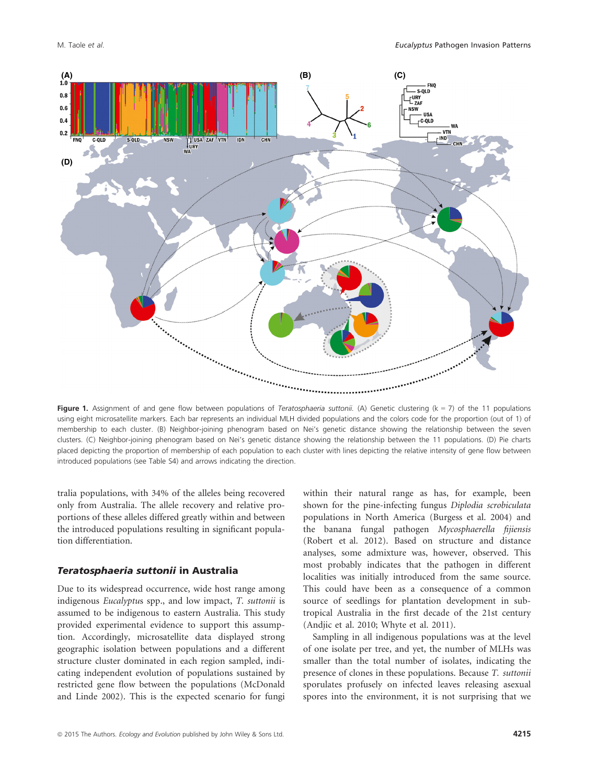

Figure 1. Assignment of and gene flow between populations of Teratosphaeria suttonii. (A) Genetic clustering ( $k = 7$ ) of the 11 populations using eight microsatellite markers. Each bar represents an individual MLH divided populations and the colors code for the proportion (out of 1) of membership to each cluster. (B) Neighbor-joining phenogram based on Nei's genetic distance showing the relationship between the seven clusters. (C) Neighbor-joining phenogram based on Nei's genetic distance showing the relationship between the 11 populations. (D) Pie charts placed depicting the proportion of membership of each population to each cluster with lines depicting the relative intensity of gene flow between introduced populations (see Table S4) and arrows indicating the direction.

tralia populations, with 34% of the alleles being recovered only from Australia. The allele recovery and relative proportions of these alleles differed greatly within and between the introduced populations resulting in significant population differentiation.

### Teratosphaeria suttonii in Australia

Due to its widespread occurrence, wide host range among indigenous Eucalyptus spp., and low impact, T. suttonii is assumed to be indigenous to eastern Australia. This study provided experimental evidence to support this assumption. Accordingly, microsatellite data displayed strong geographic isolation between populations and a different structure cluster dominated in each region sampled, indicating independent evolution of populations sustained by restricted gene flow between the populations (McDonald and Linde 2002). This is the expected scenario for fungi within their natural range as has, for example, been shown for the pine-infecting fungus Diplodia scrobiculata populations in North America (Burgess et al. 2004) and the banana fungal pathogen Mycosphaerella fijiensis (Robert et al. 2012). Based on structure and distance analyses, some admixture was, however, observed. This most probably indicates that the pathogen in different localities was initially introduced from the same source. This could have been as a consequence of a common source of seedlings for plantation development in subtropical Australia in the first decade of the 21st century (Andjic et al. 2010; Whyte et al. 2011).

Sampling in all indigenous populations was at the level of one isolate per tree, and yet, the number of MLHs was smaller than the total number of isolates, indicating the presence of clones in these populations. Because T. suttonii sporulates profusely on infected leaves releasing asexual spores into the environment, it is not surprising that we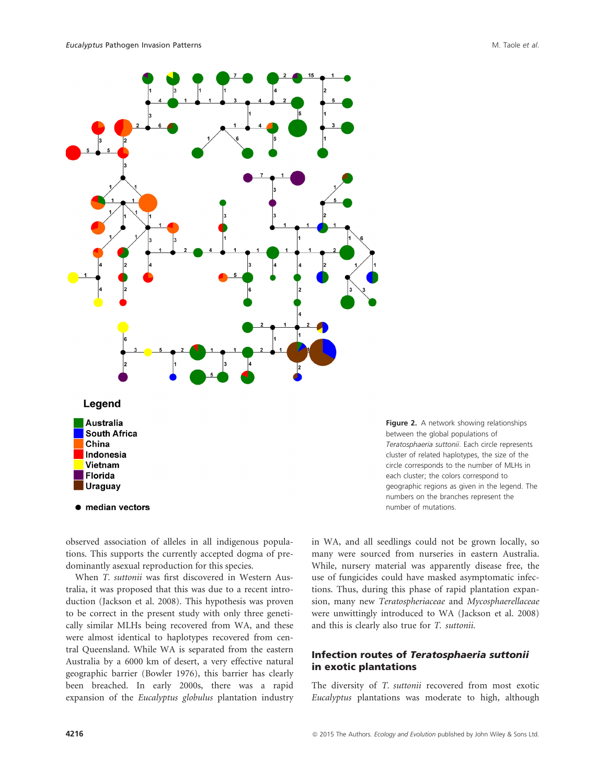

Figure 2. A network showing relationships between the global populations of Teratosphaeria suttonii. Each circle represents cluster of related haplotypes, the size of the circle corresponds to the number of MLHs in each cluster; the colors correspond to geographic regions as given in the legend. The numbers on the branches represent the number of mutations.

observed association of alleles in all indigenous populations. This supports the currently accepted dogma of predominantly asexual reproduction for this species.

When T. suttonii was first discovered in Western Australia, it was proposed that this was due to a recent introduction (Jackson et al. 2008). This hypothesis was proven to be correct in the present study with only three genetically similar MLHs being recovered from WA, and these were almost identical to haplotypes recovered from central Queensland. While WA is separated from the eastern Australia by a 6000 km of desert, a very effective natural geographic barrier (Bowler 1976), this barrier has clearly been breached. In early 2000s, there was a rapid expansion of the Eucalyptus globulus plantation industry in WA, and all seedlings could not be grown locally, so many were sourced from nurseries in eastern Australia. While, nursery material was apparently disease free, the use of fungicides could have masked asymptomatic infections. Thus, during this phase of rapid plantation expansion, many new Teratospheriaceae and Mycosphaerellaceae were unwittingly introduced to WA (Jackson et al. 2008) and this is clearly also true for T. suttonii.

### Infection routes of Teratosphaeria suttonii in exotic plantations

The diversity of T. suttonii recovered from most exotic Eucalyptus plantations was moderate to high, although

China Indonesia Vietnam Florida **Uraguay** 

• median vectors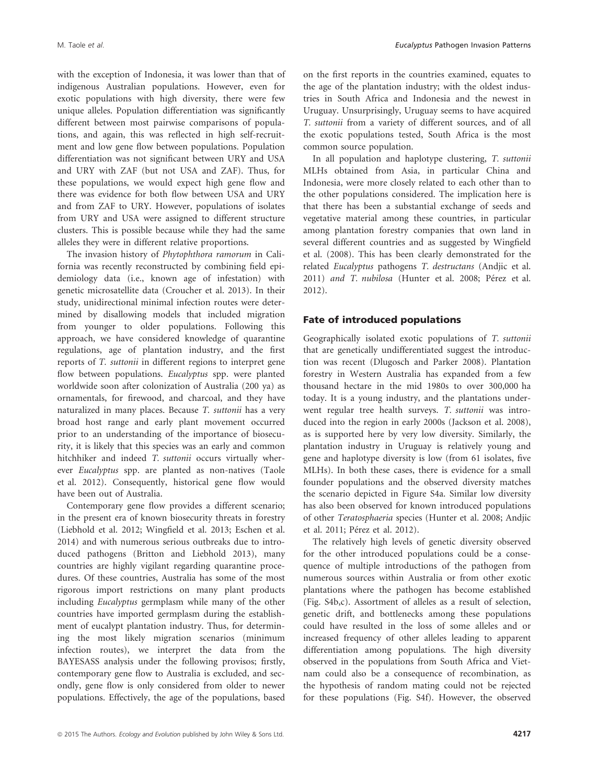with the exception of Indonesia, it was lower than that of indigenous Australian populations. However, even for exotic populations with high diversity, there were few unique alleles. Population differentiation was significantly different between most pairwise comparisons of populations, and again, this was reflected in high self-recruitment and low gene flow between populations. Population differentiation was not significant between URY and USA and URY with ZAF (but not USA and ZAF). Thus, for these populations, we would expect high gene flow and there was evidence for both flow between USA and URY and from ZAF to URY. However, populations of isolates from URY and USA were assigned to different structure clusters. This is possible because while they had the same alleles they were in different relative proportions.

The invasion history of Phytophthora ramorum in California was recently reconstructed by combining field epidemiology data (i.e., known age of infestation) with genetic microsatellite data (Croucher et al. 2013). In their study, unidirectional minimal infection routes were determined by disallowing models that included migration from younger to older populations. Following this approach, we have considered knowledge of quarantine regulations, age of plantation industry, and the first reports of T. suttonii in different regions to interpret gene flow between populations. Eucalyptus spp. were planted worldwide soon after colonization of Australia (200 ya) as ornamentals, for firewood, and charcoal, and they have naturalized in many places. Because T. suttonii has a very broad host range and early plant movement occurred prior to an understanding of the importance of biosecurity, it is likely that this species was an early and common hitchhiker and indeed T. suttonii occurs virtually wherever Eucalyptus spp. are planted as non-natives (Taole et al. 2012). Consequently, historical gene flow would have been out of Australia.

Contemporary gene flow provides a different scenario; in the present era of known biosecurity threats in forestry (Liebhold et al. 2012; Wingfield et al. 2013; Eschen et al. 2014) and with numerous serious outbreaks due to introduced pathogens (Britton and Liebhold 2013), many countries are highly vigilant regarding quarantine procedures. Of these countries, Australia has some of the most rigorous import restrictions on many plant products including Eucalyptus germplasm while many of the other countries have imported germplasm during the establishment of eucalypt plantation industry. Thus, for determining the most likely migration scenarios (minimum infection routes), we interpret the data from the BAYESASS analysis under the following provisos; firstly, contemporary gene flow to Australia is excluded, and secondly, gene flow is only considered from older to newer populations. Effectively, the age of the populations, based on the first reports in the countries examined, equates to the age of the plantation industry; with the oldest industries in South Africa and Indonesia and the newest in Uruguay. Unsurprisingly, Uruguay seems to have acquired T. suttonii from a variety of different sources, and of all the exotic populations tested, South Africa is the most common source population.

In all population and haplotype clustering, T. suttonii MLHs obtained from Asia, in particular China and Indonesia, were more closely related to each other than to the other populations considered. The implication here is that there has been a substantial exchange of seeds and vegetative material among these countries, in particular among plantation forestry companies that own land in several different countries and as suggested by Wingfield et al. (2008). This has been clearly demonstrated for the related Eucalyptus pathogens T. destructans (Andjic et al. 2011) and T. nubilosa (Hunter et al. 2008; Pérez et al. 2012).

#### Fate of introduced populations

Geographically isolated exotic populations of T. suttonii that are genetically undifferentiated suggest the introduction was recent (Dlugosch and Parker 2008). Plantation forestry in Western Australia has expanded from a few thousand hectare in the mid 1980s to over 300,000 ha today. It is a young industry, and the plantations underwent regular tree health surveys. T. suttonii was introduced into the region in early 2000s (Jackson et al. 2008), as is supported here by very low diversity. Similarly, the plantation industry in Uruguay is relatively young and gene and haplotype diversity is low (from 61 isolates, five MLHs). In both these cases, there is evidence for a small founder populations and the observed diversity matches the scenario depicted in Figure S4a. Similar low diversity has also been observed for known introduced populations of other Teratosphaeria species (Hunter et al. 2008; Andjic et al. 2011; Pérez et al. 2012).

The relatively high levels of genetic diversity observed for the other introduced populations could be a consequence of multiple introductions of the pathogen from numerous sources within Australia or from other exotic plantations where the pathogen has become established (Fig. S4b,c). Assortment of alleles as a result of selection, genetic drift, and bottlenecks among these populations could have resulted in the loss of some alleles and or increased frequency of other alleles leading to apparent differentiation among populations. The high diversity observed in the populations from South Africa and Vietnam could also be a consequence of recombination, as the hypothesis of random mating could not be rejected for these populations (Fig. S4f). However, the observed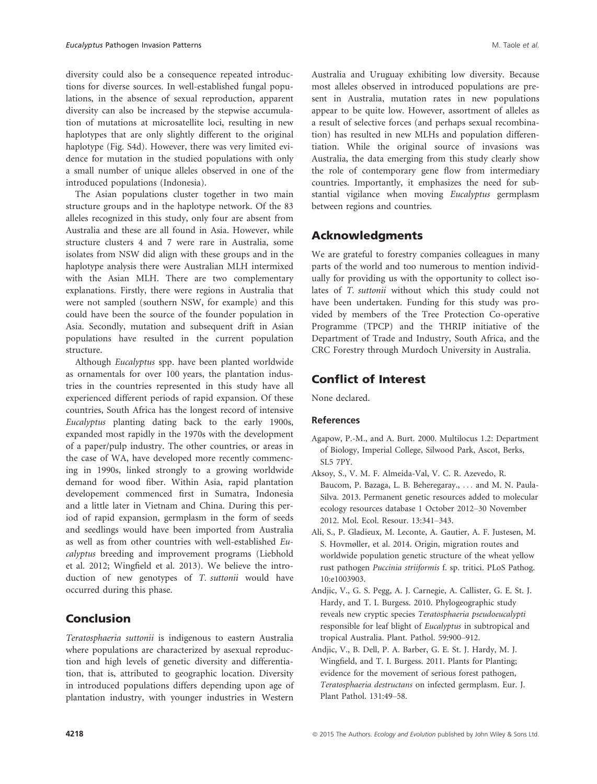diversity could also be a consequence repeated introductions for diverse sources. In well-established fungal populations, in the absence of sexual reproduction, apparent diversity can also be increased by the stepwise accumulation of mutations at microsatellite loci, resulting in new haplotypes that are only slightly different to the original haplotype (Fig. S4d). However, there was very limited evidence for mutation in the studied populations with only a small number of unique alleles observed in one of the introduced populations (Indonesia).

The Asian populations cluster together in two main structure groups and in the haplotype network. Of the 83 alleles recognized in this study, only four are absent from Australia and these are all found in Asia. However, while structure clusters 4 and 7 were rare in Australia, some isolates from NSW did align with these groups and in the haplotype analysis there were Australian MLH intermixed with the Asian MLH. There are two complementary explanations. Firstly, there were regions in Australia that were not sampled (southern NSW, for example) and this could have been the source of the founder population in Asia. Secondly, mutation and subsequent drift in Asian populations have resulted in the current population structure.

Although Eucalyptus spp. have been planted worldwide as ornamentals for over 100 years, the plantation industries in the countries represented in this study have all experienced different periods of rapid expansion. Of these countries, South Africa has the longest record of intensive Eucalyptus planting dating back to the early 1900s, expanded most rapidly in the 1970s with the development of a paper/pulp industry. The other countries, or areas in the case of WA, have developed more recently commencing in 1990s, linked strongly to a growing worldwide demand for wood fiber. Within Asia, rapid plantation developement commenced first in Sumatra, Indonesia and a little later in Vietnam and China. During this period of rapid expansion, germplasm in the form of seeds and seedlings would have been imported from Australia as well as from other countries with well-established Eucalyptus breeding and improvement programs (Liebhold et al. 2012; Wingfield et al. 2013). We believe the introduction of new genotypes of T. suttonii would have occurred during this phase.

## Conclusion

Teratosphaeria suttonii is indigenous to eastern Australia where populations are characterized by asexual reproduction and high levels of genetic diversity and differentiation, that is, attributed to geographic location. Diversity in introduced populations differs depending upon age of plantation industry, with younger industries in Western Australia and Uruguay exhibiting low diversity. Because most alleles observed in introduced populations are present in Australia, mutation rates in new populations appear to be quite low. However, assortment of alleles as a result of selective forces (and perhaps sexual recombination) has resulted in new MLHs and population differentiation. While the original source of invasions was Australia, the data emerging from this study clearly show the role of contemporary gene flow from intermediary countries. Importantly, it emphasizes the need for substantial vigilance when moving Eucalyptus germplasm between regions and countries.

# Acknowledgments

We are grateful to forestry companies colleagues in many parts of the world and too numerous to mention individually for providing us with the opportunity to collect isolates of T. suttonii without which this study could not have been undertaken. Funding for this study was provided by members of the Tree Protection Co-operative Programme (TPCP) and the THRIP initiative of the Department of Trade and Industry, South Africa, and the CRC Forestry through Murdoch University in Australia.

# Conflict of Interest

None declared.

### References

- Agapow, P.-M., and A. Burt. 2000. Multilocus 1.2: Department of Biology, Imperial College, Silwood Park, Ascot, Berks, SL5 7PY.
- Aksoy, S., V. M. F. Almeida-Val, V. C. R. Azevedo, R. Baucom, P. Bazaga, L. B. Beheregaray., ... and M. N. Paula-Silva. 2013. Permanent genetic resources added to molecular ecology resources database 1 October 2012–30 November 2012. Mol. Ecol. Resour. 13:341–343.
- Ali, S., P. Gladieux, M. Leconte, A. Gautier, A. F. Justesen, M. S. Hovmøller, et al. 2014. Origin, migration routes and worldwide population genetic structure of the wheat yellow rust pathogen Puccinia striiformis f. sp. tritici. PLoS Pathog. 10:e1003903.
- Andjic, V., G. S. Pegg, A. J. Carnegie, A. Callister, G. E. St. J. Hardy, and T. I. Burgess. 2010. Phylogeographic study reveals new cryptic species Teratosphaeria pseudoeucalypti responsible for leaf blight of Eucalyptus in subtropical and tropical Australia. Plant. Pathol. 59:900–912.
- Andjic, V., B. Dell, P. A. Barber, G. E. St. J. Hardy, M. J. Wingfield, and T. I. Burgess. 2011. Plants for Planting; evidence for the movement of serious forest pathogen, Teratosphaeria destructans on infected germplasm. Eur. J. Plant Pathol. 131:49–58.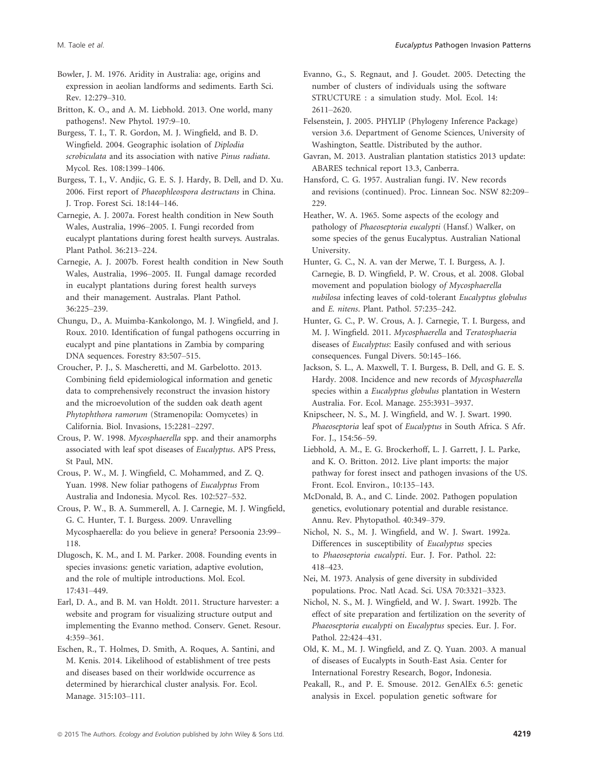Bowler, J. M. 1976. Aridity in Australia: age, origins and expression in aeolian landforms and sediments. Earth Sci. Rev. 12:279–310.

Britton, K. O., and A. M. Liebhold. 2013. One world, many pathogens!. New Phytol. 197:9–10.

Burgess, T. I., T. R. Gordon, M. J. Wingfield, and B. D. Wingfield. 2004. Geographic isolation of Diplodia scrobiculata and its association with native Pinus radiata. Mycol. Res. 108:1399–1406.

Burgess, T. I., V. Andjic, G. E. S. J. Hardy, B. Dell, and D. Xu. 2006. First report of Phaeophleospora destructans in China. J. Trop. Forest Sci. 18:144–146.

Carnegie, A. J. 2007a. Forest health condition in New South Wales, Australia, 1996–2005. I. Fungi recorded from eucalypt plantations during forest health surveys. Australas. Plant Pathol. 36:213–224.

Carnegie, A. J. 2007b. Forest health condition in New South Wales, Australia, 1996–2005. II. Fungal damage recorded in eucalypt plantations during forest health surveys and their management. Australas. Plant Pathol. 36:225–239.

Chungu, D., A. Muimba-Kankolongo, M. J. Wingfield, and J. Roux. 2010. Identification of fungal pathogens occurring in eucalypt and pine plantations in Zambia by comparing DNA sequences. Forestry 83:507–515.

Croucher, P. J., S. Mascheretti, and M. Garbelotto. 2013. Combining field epidemiological information and genetic data to comprehensively reconstruct the invasion history and the microevolution of the sudden oak death agent Phytophthora ramorum (Stramenopila: Oomycetes) in California. Biol. Invasions, 15:2281–2297.

Crous, P. W. 1998. Mycosphaerella spp. and their anamorphs associated with leaf spot diseases of Eucalyptus. APS Press, St Paul, MN.

Crous, P. W., M. J. Wingfield, C. Mohammed, and Z. Q. Yuan. 1998. New foliar pathogens of Eucalyptus From Australia and Indonesia. Mycol. Res. 102:527–532.

Crous, P. W., B. A. Summerell, A. J. Carnegie, M. J. Wingfield, G. C. Hunter, T. I. Burgess. 2009. Unravelling Mycosphaerella: do you believe in genera? Persoonia 23:99– 118.

Dlugosch, K. M., and I. M. Parker. 2008. Founding events in species invasions: genetic variation, adaptive evolution, and the role of multiple introductions. Mol. Ecol. 17:431–449.

Earl, D. A., and B. M. van Holdt. 2011. Structure harvester: a website and program for visualizing structure output and implementing the Evanno method. Conserv. Genet. Resour. 4:359–361.

Eschen, R., T. Holmes, D. Smith, A. Roques, A. Santini, and M. Kenis. 2014. Likelihood of establishment of tree pests and diseases based on their worldwide occurrence as determined by hierarchical cluster analysis. For. Ecol. Manage. 315:103–111.

Evanno, G., S. Regnaut, and J. Goudet. 2005. Detecting the number of clusters of individuals using the software STRUCTURE : a simulation study. Mol. Ecol. 14: 2611–2620.

Felsenstein, J. 2005. PHYLIP (Phylogeny Inference Package) version 3.6. Department of Genome Sciences, University of Washington, Seattle. Distributed by the author.

Gavran, M. 2013. Australian plantation statistics 2013 update: ABARES technical report 13.3, Canberra.

Hansford, C. G. 1957. Australian fungi. IV. New records and revisions (continued). Proc. Linnean Soc. NSW 82:209– 229.

Heather, W. A. 1965. Some aspects of the ecology and pathology of Phaeoseptoria eucalypti (Hansf.) Walker, on some species of the genus Eucalyptus. Australian National University.

Hunter, G. C., N. A. van der Merwe, T. I. Burgess, A. J. Carnegie, B. D. Wingfield, P. W. Crous, et al. 2008. Global movement and population biology of Mycosphaerella nubilosa infecting leaves of cold-tolerant Eucalyptus globulus and E. nitens. Plant. Pathol. 57:235–242.

Hunter, G. C., P. W. Crous, A. J. Carnegie, T. I. Burgess, and M. J. Wingfield. 2011. Mycosphaerella and Teratosphaeria diseases of Eucalyptus: Easily confused and with serious consequences. Fungal Divers. 50:145–166.

Jackson, S. L., A. Maxwell, T. I. Burgess, B. Dell, and G. E. S. Hardy. 2008. Incidence and new records of Mycosphaerella species within a Eucalyptus globulus plantation in Western Australia. For. Ecol. Manage. 255:3931–3937.

Knipscheer, N. S., M. J. Wingfield, and W. J. Swart. 1990. Phaeoseptoria leaf spot of Eucalyptus in South Africa. S Afr. For. J., 154:56–59.

Liebhold, A. M., E. G. Brockerhoff, L. J. Garrett, J. L. Parke, and K. O. Britton. 2012. Live plant imports: the major pathway for forest insect and pathogen invasions of the US. Front. Ecol. Environ., 10:135–143.

McDonald, B. A., and C. Linde. 2002. Pathogen population genetics, evolutionary potential and durable resistance. Annu. Rev. Phytopathol. 40:349–379.

Nichol, N. S., M. J. Wingfield, and W. J. Swart. 1992a. Differences in susceptibility of Eucalyptus species to Phaeoseptoria eucalypti. Eur. J. For. Pathol. 22: 418–423.

Nei, M. 1973. Analysis of gene diversity in subdivided populations. Proc. Natl Acad. Sci. USA 70:3321–3323.

Nichol, N. S., M. J. Wingfield, and W. J. Swart. 1992b. The effect of site preparation and fertilization on the severity of Phaeoseptoria eucalypti on Eucalyptus species. Eur. J. For. Pathol. 22:424–431.

Old, K. M., M. J. Wingfield, and Z. Q. Yuan. 2003. A manual of diseases of Eucalypts in South-East Asia. Center for International Forestry Research, Bogor, Indonesia.

Peakall, R., and P. E. Smouse. 2012. GenAlEx 6.5: genetic analysis in Excel. population genetic software for